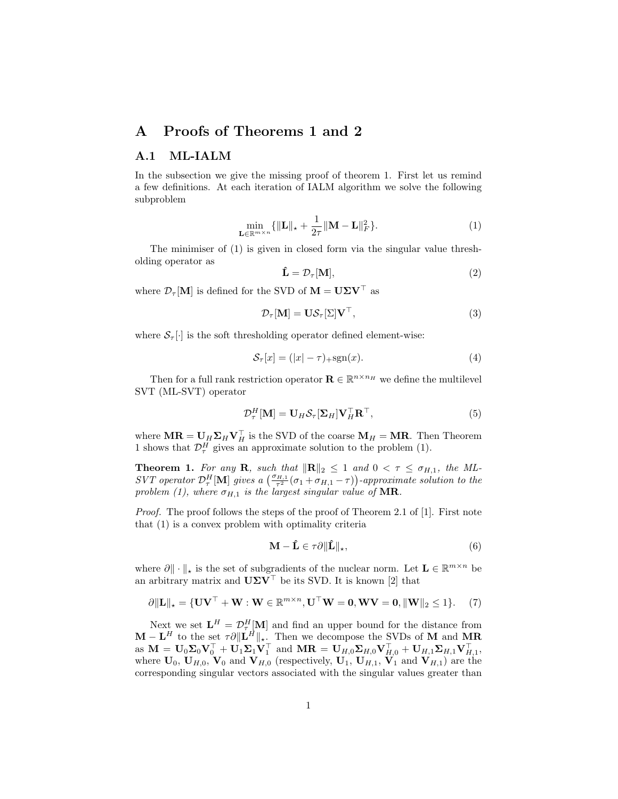## A Proofs of Theorems 1 and 2

## A.1 ML-IALM

In the subsection we give the missing proof of theorem 1. First let us remind a few definitions. At each iteration of IALM algorithm we solve the following subproblem

$$
\min_{\mathbf{L} \in \mathbb{R}^{m \times n}} \{ ||\mathbf{L}||_{\star} + \frac{1}{2\tau} ||\mathbf{M} - \mathbf{L}||_{F}^{2} \}.
$$
 (1)

The minimiser of (1) is given in closed form via the singular value thresholding operator as

$$
\hat{\mathbf{L}} = \mathcal{D}_{\tau}[\mathbf{M}],\tag{2}
$$

where  $\mathcal{D}_{\tau}[\mathbf{M}]$  is defined for the SVD of  $\mathbf{M} = \mathbf{U}\boldsymbol{\Sigma}\mathbf{V}^{\top}$  as

$$
\mathcal{D}_{\tau}[\mathbf{M}] = \mathbf{U}\mathcal{S}_{\tau}[\Sigma]\mathbf{V}^{\top},\tag{3}
$$

where  $S_{\tau}[\cdot]$  is the soft thresholding operator defined element-wise:

$$
\mathcal{S}_{\tau}[x] = (|x| - \tau)_{+} \text{sgn}(x). \tag{4}
$$

Then for a full rank restriction operator  $\mathbf{R} \in \mathbb{R}^{n \times n_H}$  we define the multilevel SVT (ML-SVT) operator

$$
\mathcal{D}_{\tau}^{H}[\mathbf{M}] = \mathbf{U}_{H} \mathcal{S}_{\tau}[\Sigma_{H}] \mathbf{V}_{H}^{\top} \mathbf{R}^{\top}, \tag{5}
$$

where  $\mathbf{MR} = \mathbf{U}_H \mathbf{\Sigma}_H \mathbf{V}_H^\top$  is the SVD of the coarse  $\mathbf{M}_H = \mathbf{MR}$ . Then Theorem 1 shows that  $\mathcal{D}_{\tau}^{H}$  gives an approximate solution to the problem (1).

**Theorem 1.** For any **R**, such that  $\|\mathbf{R}\|_2 \leq 1$  and  $0 < \tau \leq \sigma_{H,1}$ , the ML-SVT operator  $\mathcal{D}_{\tau}^H[\mathbf{M}]$  gives a  $\left(\frac{\sigma_{H,1}}{\tau^2}(\sigma_1 + \sigma_{H,1} - \tau)\right)$ -approximate solution to the problem (1), where  $\sigma_{H,1}$  is the largest singular value of MR.

Proof. The proof follows the steps of the proof of Theorem 2.1 of [1]. First note that (1) is a convex problem with optimality criteria

$$
\mathbf{M} - \hat{\mathbf{L}} \in \tau \partial \|\hat{\mathbf{L}}\|_{\star},\tag{6}
$$

where  $\partial \|\cdot\|_{\star}$  is the set of subgradients of the nuclear norm. Let  $\mathbf{L} \in \mathbb{R}^{m \times n}$  be an arbitrary matrix and  $U\Sigma V^{\top}$  be its SVD. It is known [2] that

$$
\partial \|\mathbf{L}\|_{\star} = \{\mathbf{U}\mathbf{V}^{\top} + \mathbf{W}: \mathbf{W} \in \mathbb{R}^{m \times n}, \mathbf{U}^{\top}\mathbf{W} = \mathbf{0}, \mathbf{W}\mathbf{V} = \mathbf{0}, \|\mathbf{W}\|_{2} \leq 1\}.
$$
 (7)

Next we set  $\mathbf{L}^H = \mathcal{D}_{\tau}^H[\mathbf{M}]$  and find an upper bound for the distance from  $\mathbf{M} - \mathbf{L}^H$  to the set  $\tau \partial \|\mathbf{L}^H\|_{\star}$ . Then we decompose the SVDs of M and MR as  $\mathbf{M} = \mathbf{U}_0 \mathbf{\Sigma}_0 \mathbf{V}_0^\top + \mathbf{U}_1 \mathbf{\Sigma}_1 \mathbf{V}_1^\top$  and  $\mathbf{M} \mathbf{R} = \mathbf{U}_{H,0} \mathbf{\Sigma}_{H,0} \mathbf{V}_{H,0}^\top + \mathbf{U}_{H,1} \mathbf{\Sigma}_{H,1} \mathbf{V}_{H,1}^\top$ where  $U_0$ ,  $U_{H,0}$ ,  $V_0$  and  $V_{H,0}$  (respectively,  $U_1$ ,  $U_{H,1}$ ,  $V_1$  and  $V_{H,1}$ ) are the corresponding singular vectors associated with the singular values greater than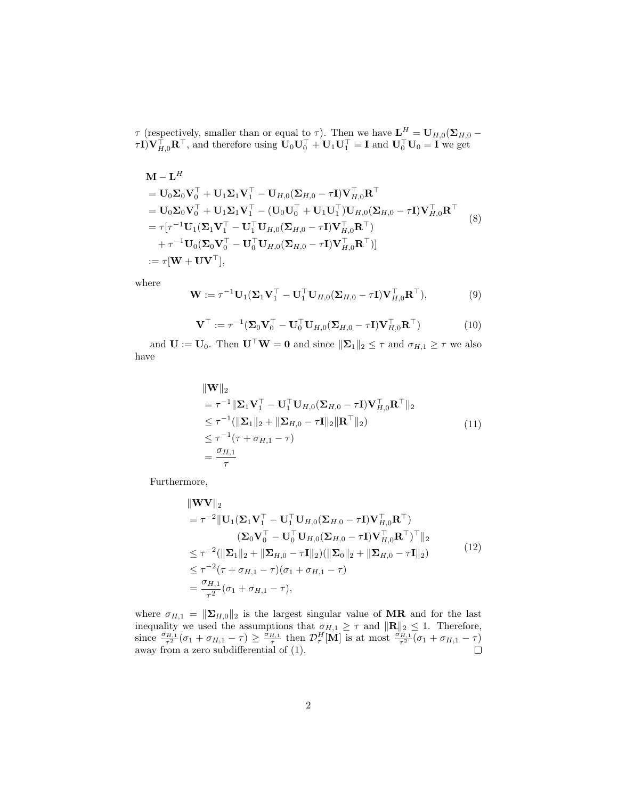$\tau$  (respectively, smaller than or equal to  $\tau$ ). Then we have  $\mathbf{L}^H = \mathbf{U}_{H,0}(\mathbf{\Sigma}_{H,0} - \mathbf{I})$  $\tau I)V_{H,0}^{\top}R^{\top}$ , and therefore using  $U_0U_0^{\top} + U_1U_1^{\top} = I$  and  $U_0^{\top}U_0 = I$  we get

$$
\mathbf{M} - \mathbf{L}^{H}
$$
\n
$$
= \mathbf{U}_{0}\mathbf{\Sigma}_{0}\mathbf{V}_{0}^{\top} + \mathbf{U}_{1}\mathbf{\Sigma}_{1}\mathbf{V}_{1}^{\top} - \mathbf{U}_{H,0}(\mathbf{\Sigma}_{H,0} - \tau\mathbf{I})\mathbf{V}_{H,0}^{\top}\mathbf{R}^{\top}
$$
\n
$$
= \mathbf{U}_{0}\mathbf{\Sigma}_{0}\mathbf{V}_{0}^{\top} + \mathbf{U}_{1}\mathbf{\Sigma}_{1}\mathbf{V}_{1}^{\top} - (\mathbf{U}_{0}\mathbf{U}_{0}^{\top} + \mathbf{U}_{1}\mathbf{U}_{1}^{\top})\mathbf{U}_{H,0}(\mathbf{\Sigma}_{H,0} - \tau\mathbf{I})\mathbf{V}_{H,0}^{\top}\mathbf{R}^{\top}
$$
\n
$$
= \tau[\tau^{-1}\mathbf{U}_{1}(\mathbf{\Sigma}_{1}\mathbf{V}_{1}^{\top} - \mathbf{U}_{1}^{\top}\mathbf{U}_{H,0}(\mathbf{\Sigma}_{H,0} - \tau\mathbf{I})\mathbf{V}_{H,0}^{\top}\mathbf{R}^{\top})
$$
\n
$$
+ \tau^{-1}\mathbf{U}_{0}(\mathbf{\Sigma}_{0}\mathbf{V}_{0}^{\top} - \mathbf{U}_{0}^{\top}\mathbf{U}_{H,0}(\mathbf{\Sigma}_{H,0} - \tau\mathbf{I})\mathbf{V}_{H,0}^{\top}\mathbf{R}^{\top})]
$$
\n
$$
:= \tau[\mathbf{W} + \mathbf{U}\mathbf{V}^{\top}], \tag{8}
$$

where

$$
\mathbf{W} := \tau^{-1} \mathbf{U}_1 (\mathbf{\Sigma}_1 \mathbf{V}_1^\top - \mathbf{U}_1^\top \mathbf{U}_{H,0} (\mathbf{\Sigma}_{H,0} - \tau \mathbf{I}) \mathbf{V}_{H,0}^\top \mathbf{R}^\top), \tag{9}
$$

$$
\mathbf{V}^{\top} := \tau^{-1} (\mathbf{\Sigma}_0 \mathbf{V}_0^{\top} - \mathbf{U}_0^{\top} \mathbf{U}_{H,0} (\mathbf{\Sigma}_{H,0} - \tau \mathbf{I}) \mathbf{V}_{H,0}^{\top} \mathbf{R}^{\top})
$$
(10)

and  $\mathbf{U} := \mathbf{U}_0$ . Then  $\mathbf{U}^\top \mathbf{W} = \mathbf{0}$  and since  $\|\mathbf{\Sigma}_1\|_2 \leq \tau$  and  $\sigma_{H,1} \geq \tau$  we also have

$$
\|\mathbf{W}\|_{2} \n= \tau^{-1} \|\mathbf{\Sigma}_{1} \mathbf{V}_{1}^{\top} - \mathbf{U}_{1}^{\top} \mathbf{U}_{H,0} (\mathbf{\Sigma}_{H,0} - \tau \mathbf{I}) \mathbf{V}_{H,0}^{\top} \mathbf{R}^{\top} \|_{2} \n\leq \tau^{-1} (\|\mathbf{\Sigma}_{1}\|_{2} + \|\mathbf{\Sigma}_{H,0} - \tau \mathbf{I}\|_{2} \|\mathbf{R}^{\top}\|_{2}) \n\leq \tau^{-1} (\tau + \sigma_{H,1} - \tau) \n= \frac{\sigma_{H,1}}{\tau}
$$
\n(11)

Furthermore,

$$
\|\mathbf{W}\mathbf{V}\|_{2}
$$
\n
$$
= \tau^{-2} \|\mathbf{U}_{1}(\mathbf{\Sigma}_{1}\mathbf{V}_{1}^{\top} - \mathbf{U}_{1}^{\top}\mathbf{U}_{H,0}(\mathbf{\Sigma}_{H,0} - \tau\mathbf{I})\mathbf{V}_{H,0}^{\top}\mathbf{R}^{\top})
$$
\n
$$
(\mathbf{\Sigma}_{0}\mathbf{V}_{0}^{\top} - \mathbf{U}_{0}^{\top}\mathbf{U}_{H,0}(\mathbf{\Sigma}_{H,0} - \tau\mathbf{I})\mathbf{V}_{H,0}^{\top}\mathbf{R}^{\top})^{\top}\|_{2}
$$
\n
$$
\leq \tau^{-2} (\|\mathbf{\Sigma}_{1}\|_{2} + \|\mathbf{\Sigma}_{H,0} - \tau\mathbf{I}\|_{2})(\|\mathbf{\Sigma}_{0}\|_{2} + \|\mathbf{\Sigma}_{H,0} - \tau\mathbf{I}\|_{2})
$$
\n
$$
\leq \tau^{-2}(\tau + \sigma_{H,1} - \tau)(\sigma_{1} + \sigma_{H,1} - \tau)
$$
\n
$$
= \frac{\sigma_{H,1}}{\tau^{2}}(\sigma_{1} + \sigma_{H,1} - \tau),
$$
\n(12)

where  $\sigma_{H,1} = \|\Sigma_{H,0}\|_2$  is the largest singular value of **MR** and for the last inequality we used the assumptions that  $\sigma_{H,1} \geq \tau$  and  $\|\mathbf{R}\|_2 \leq 1$ . Therefore, since  $\frac{\sigma_{H,1}}{\tau^2}(\sigma_1 + \sigma_{H,1} - \tau) \geq \frac{\sigma_{H,1}}{\tau}$  then  $\mathcal{D}_{\tau}^H[\mathbf{M}]$  is at most  $\frac{\sigma_{H,1}}{\tau^2}(\sigma_1 + \sigma_{H,1} - \tau)$ away from a zero subdifferential of (1).